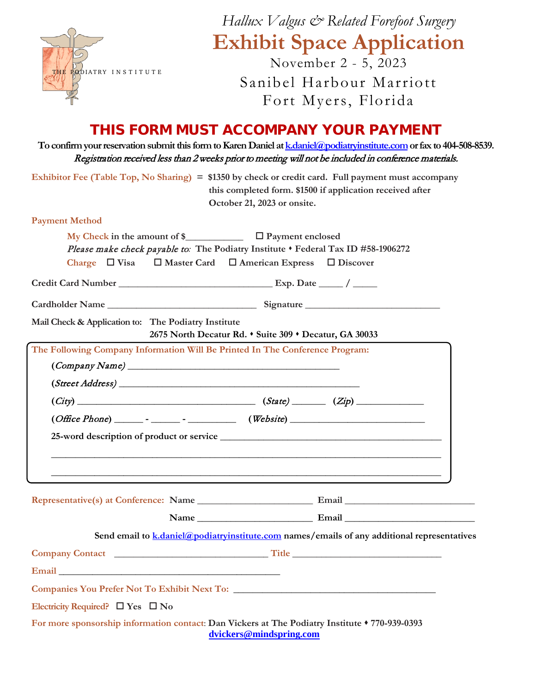|                                                                              | Hallux Valgus & Related Forefoot Surgery                                                                                                                                                                                                                                  |  |  |
|------------------------------------------------------------------------------|---------------------------------------------------------------------------------------------------------------------------------------------------------------------------------------------------------------------------------------------------------------------------|--|--|
|                                                                              | <b>Exhibit Space Application</b>                                                                                                                                                                                                                                          |  |  |
|                                                                              | November 2 - 5, 2023                                                                                                                                                                                                                                                      |  |  |
| THE PODIATRY INSTITUTE                                                       | Sanibel Harbour Marriott                                                                                                                                                                                                                                                  |  |  |
|                                                                              | Fort Myers, Florida                                                                                                                                                                                                                                                       |  |  |
|                                                                              |                                                                                                                                                                                                                                                                           |  |  |
|                                                                              | THIS FORM MUST ACCOMPANY YOUR PAYMENT<br>To confirm your reservation submit this form to Karen Daniel at k.daniel@podiatryinstitute.com or fax to 404-508-8539.<br>Registration received less than 2 weeks prior to meeting will not be included in conference materials. |  |  |
|                                                                              | Exhibitor Fee (Table Top, No Sharing) = \$1350 by check or credit card. Full payment must accompany<br>this completed form. \$1500 if application received after<br>October 21, 2023 or onsite.                                                                           |  |  |
| <b>Payment Method</b>                                                        |                                                                                                                                                                                                                                                                           |  |  |
| Charge $\Box$ Visa                                                           | My Check in the amount of $\sum$ $\Box$ Payment enclosed<br>Please make check payable to: The Podiatry Institute . Federal Tax ID #58-1906272<br>$\Box$ Master Card $\Box$ American Express $\Box$ Discover                                                               |  |  |
|                                                                              |                                                                                                                                                                                                                                                                           |  |  |
|                                                                              |                                                                                                                                                                                                                                                                           |  |  |
| Mail Check & Application to: The Podiatry Institute                          | 2675 North Decatur Rd. • Suite 309 • Decatur, GA 30033                                                                                                                                                                                                                    |  |  |
| The Following Company Information Will Be Printed In The Conference Program: |                                                                                                                                                                                                                                                                           |  |  |
| $\left($ Company Name $\right)$ $\qquad$                                     |                                                                                                                                                                                                                                                                           |  |  |
| (Street Address)                                                             |                                                                                                                                                                                                                                                                           |  |  |
| (City)                                                                       | $\sqrt{(State)}$ $(Xip)$                                                                                                                                                                                                                                                  |  |  |
|                                                                              |                                                                                                                                                                                                                                                                           |  |  |
|                                                                              |                                                                                                                                                                                                                                                                           |  |  |
|                                                                              | ,我们也不能在这里的时候,我们也不能在这里的时候,我们也不能会在这里的时候,我们也不能会在这里的时候,我们也不能会在这里的时候,我们也不能会在这里的时候,我们也                                                                                                                                                                                          |  |  |
|                                                                              |                                                                                                                                                                                                                                                                           |  |  |
|                                                                              |                                                                                                                                                                                                                                                                           |  |  |
|                                                                              |                                                                                                                                                                                                                                                                           |  |  |
|                                                                              | Send email to k.daniel@podiatryinstitute.com names/emails of any additional representatives                                                                                                                                                                               |  |  |
|                                                                              |                                                                                                                                                                                                                                                                           |  |  |
|                                                                              |                                                                                                                                                                                                                                                                           |  |  |
|                                                                              |                                                                                                                                                                                                                                                                           |  |  |
| Electricity Required? $\Box$ Yes $\Box$ No                                   |                                                                                                                                                                                                                                                                           |  |  |
|                                                                              | For more sponsorship information contact: Dan Vickers at The Podiatry Institute $*$ 770-939-0393<br>dvickers@mindspring.com                                                                                                                                               |  |  |